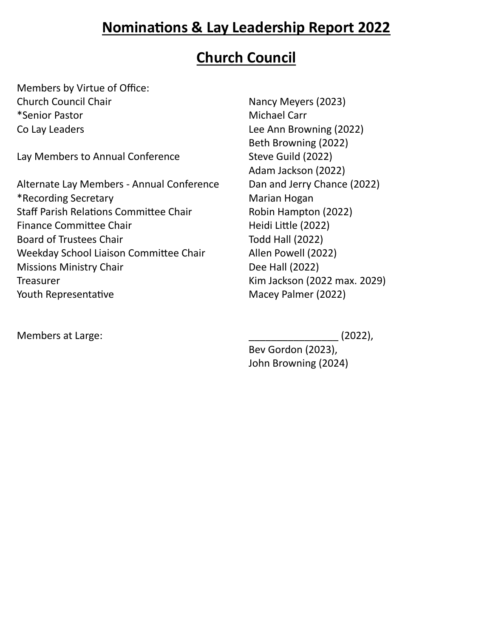# **Nominations & Lay Leadership Report 2022**

### **Church Council**

Members by Virtue of Office: Church Council Chair Nancy Meyers (2023) \*Senior Pastor **Michael Carr** Michael Carr Co Lay Leaders Lee Ann Browning (2022)

Lay Members to Annual Conference Steve Guild (2022)

Alternate Lay Members - Annual Conference Dan and Jerry Chance (2022) \*Recording Secretary **Marian Hogan** Marian Hogan Staff Parish Relations Committee Chair Robin Hampton (2022) Finance Committee Chair Finance Committee Chair Board of Trustees Chair Todd Hall (2022) Weekday School Liaison Committee Chair Allen Powell (2022) Missions Ministry Chair **Dee Hall (2022)** Treasurer Kim Jackson (2022 max. 2029) Youth Representative Macey Palmer (2022)

Members at Large: \_\_\_\_\_\_\_\_\_\_\_\_\_\_\_\_ (2022),

Beth Browning (2022) Adam Jackson (2022)

Bev Gordon (2023), John Browning (2024)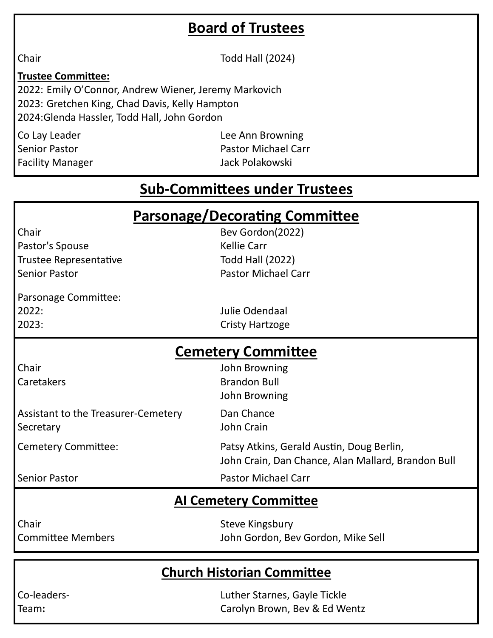# **Board of Trustees**

Chair **Todd Hall** (2024)

#### **Trustee Committee:**

2022: Emily O'Connor, Andrew Wiener, Jeremy Markovich 2023: Gretchen King, Chad Davis, Kelly Hampton 2024:Glenda Hassler, Todd Hall, John Gordon

Co Lay Leader **Lee Ann Browning** Senior Pastor Pastor Michael Carr Facility Manager **Jack Polakowski** 

# **Sub-Committees under Trustees**

| <b>Parsonage/Decorating Committee</b><br>Chair<br>Bev Gordon(2022) |                                                    |  |
|--------------------------------------------------------------------|----------------------------------------------------|--|
| Pastor's Spouse                                                    | <b>Kellie Carr</b>                                 |  |
| <b>Trustee Representative</b>                                      | <b>Todd Hall (2022)</b>                            |  |
| <b>Senior Pastor</b>                                               | <b>Pastor Michael Carr</b>                         |  |
| Parsonage Committee:                                               |                                                    |  |
| 2022:                                                              | Julie Odendaal                                     |  |
| 2023:                                                              | <b>Cristy Hartzoge</b>                             |  |
| <b>Cemetery Committee</b>                                          |                                                    |  |
| Chair                                                              | John Browning                                      |  |
| Caretakers                                                         | <b>Brandon Bull</b>                                |  |
|                                                                    | John Browning                                      |  |
| Assistant to the Treasurer-Cemetery                                | Dan Chance                                         |  |
| Secretary                                                          | John Crain                                         |  |
| <b>Cemetery Committee:</b>                                         | Patsy Atkins, Gerald Austin, Doug Berlin,          |  |
|                                                                    | John Crain, Dan Chance, Alan Mallard, Brandon Bull |  |
| <b>Senior Pastor</b>                                               | <b>Pastor Michael Carr</b>                         |  |
| <b>AI Cemetery Committee</b>                                       |                                                    |  |
| Chair                                                              | <b>Steve Kingsbury</b>                             |  |
| <b>Committee Members</b>                                           | John Gordon, Bev Gordon, Mike Sell                 |  |

### **Church Historian Committee**

Co-leaders- Luther Starnes, Gayle Tickle Team**:** Carolyn Brown, Bev & Ed Wentz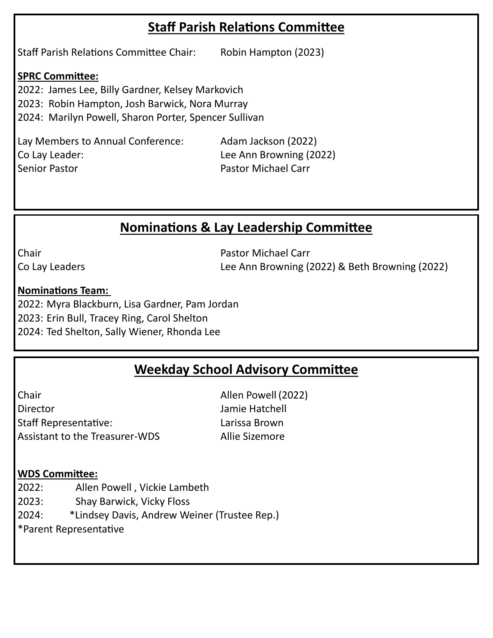### **Staff Parish Relations Committee**

Staff Parish Relations Committee Chair: Robin Hampton (2023)

#### **SPRC Committee:**

2022: James Lee, Billy Gardner, Kelsey Markovich 2023: Robin Hampton, Josh Barwick, Nora Murray

2024: Marilyn Powell, Sharon Porter, Spencer Sullivan

Lay Members to Annual Conference: Adam Jackson (2022) Co Lay Leader: Lee Ann Browning (2022) Senior Pastor Pastor Michael Carr

### **Nominations & Lay Leadership Committee**

Chair **Pastor Michael Carr** Pastor Michael Carr Co Lay Leaders Lee Ann Browning (2022) & Beth Browning (2022)

#### **Nominations Team:**

2022: Myra Blackburn, Lisa Gardner, Pam Jordan 2023: Erin Bull, Tracey Ring, Carol Shelton 2024: Ted Shelton, Sally Wiener, Rhonda Lee

### **Weekday School Advisory Committee**

Chair Allen Powell (2022) Director Jamie Hatchell Staff Representative: Larissa Brown Assistant to the Treasurer-WDS Allie Sizemore

#### **WDS Committee:**

2022: Allen Powell , Vickie Lambeth

2023: Shay Barwick, Vicky Floss

2024: \*Lindsey Davis, Andrew Weiner (Trustee Rep.)

\*Parent Representative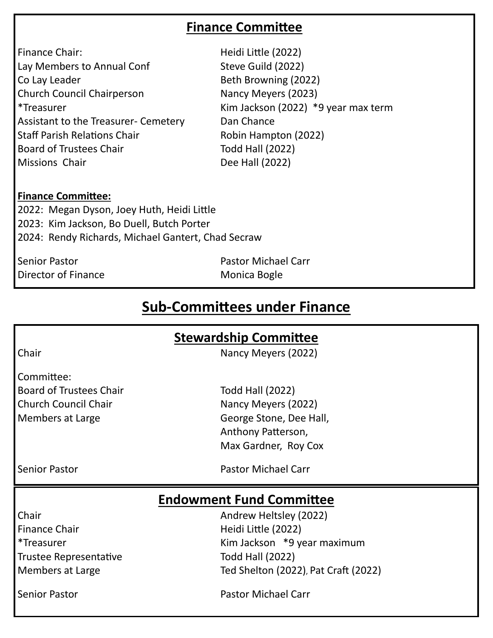### **Finance Committee**

| Finance Chair:                              |
|---------------------------------------------|
| Lay Members to Annual Conf                  |
| Co Lay Leader                               |
| <b>Church Council Chairperson</b>           |
| <i>*</i> Treasurer                          |
| <b>Assistant to the Treasurer- Cemetery</b> |
| <b>Staff Parish Relations Chair</b>         |
| <b>Board of Trustees Chair</b>              |
| Missions Chair                              |
|                                             |

Heidi Little (2022) Steve Guild (2022) Beth Browning (2022) Nancy Meyers (2023) Kim Jackson (2022)  $*9$  year max term Dan Chance Robin Hampton (2022) Todd Hall (2022) Dee Hall (2022)

#### **Finance Committee:**

2022: Megan Dyson, Joey Huth, Heidi Little 2023: Kim Jackson, Bo Duell, Butch Porter 2024: Rendy Richards, Michael Gantert, Chad Secraw

Senior Pastor Pastor Michael Carr Director of Finance Monica Bogle

### **Sub-Committees under Finance**

#### **Stewardship Committee**

Chair **Nancy Meyers** (2022)

Committee: Board of Trustees Chair Todd Hall (2022) Church Council Chair Nancy Meyers (2022)

Members at Large George Stone, Dee Hall, Anthony Patterson, Max Gardner, Roy Cox

Senior Pastor Pastor Michael Carr

#### **Endowment Fund Committee**

Finance Chair **Heidi Little (2022)** Trustee Representative Trustee Representative

Chair **Chair Andrew Heltsley (2022)** \*Treasurer Kim Jackson \*9 year maximum Members at Large Ted Shelton (2022), Pat Craft (2022)

Senior Pastor Pastor Michael Carr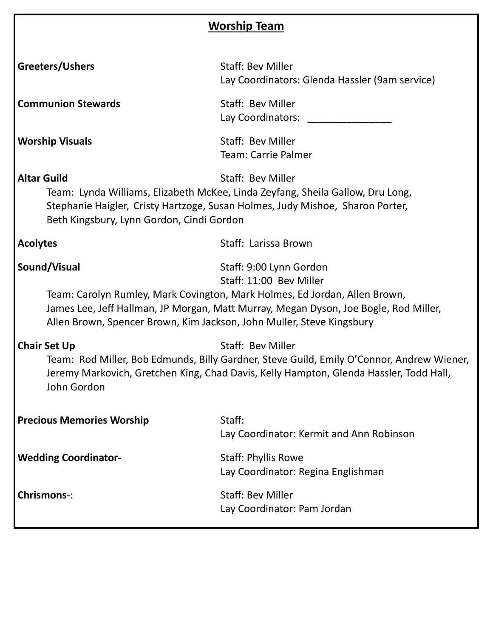| <b>Worship Team</b>                                                                                                                                                                                                                                                                                               |                                                                            |  |
|-------------------------------------------------------------------------------------------------------------------------------------------------------------------------------------------------------------------------------------------------------------------------------------------------------------------|----------------------------------------------------------------------------|--|
| Greeters/Ushers                                                                                                                                                                                                                                                                                                   | <b>Staff: Bev Miller</b><br>Lay Coordinators: Glenda Hassler (9am service) |  |
| <b>Communion Stewards</b>                                                                                                                                                                                                                                                                                         | Staff: Bev Miller<br>Lay Coordinators: _____________                       |  |
| <b>Worship Visuals</b>                                                                                                                                                                                                                                                                                            | Staff: Bev Miller<br><b>Team: Carrie Palmer</b>                            |  |
| <b>Altar Guild</b><br>Staff: Bev Miller<br>Team: Lynda Williams, Elizabeth McKee, Linda Zeyfang, Sheila Gallow, Dru Long,<br>Stephanie Haigler, Cristy Hartzoge, Susan Holmes, Judy Mishoe, Sharon Porter,<br>Beth Kingsbury, Lynn Gordon, Cindi Gordon                                                           |                                                                            |  |
| <b>Acolytes</b>                                                                                                                                                                                                                                                                                                   | Staff: Larissa Brown                                                       |  |
| Sound/Visual<br>Staff: 9:00 Lynn Gordon<br>Staff: 11:00 Bev Miller<br>Team: Carolyn Rumley, Mark Covington, Mark Holmes, Ed Jordan, Allen Brown,<br>James Lee, Jeff Hallman, JP Morgan, Matt Murray, Megan Dyson, Joe Bogle, Rod Miller,<br>Allen Brown, Spencer Brown, Kim Jackson, John Muller, Steve Kingsbury |                                                                            |  |
| <b>Chair Set Up</b><br>Staff: Bev Miller<br>Team: Rod Miller, Bob Edmunds, Billy Gardner, Steve Guild, Emily O'Connor, Andrew Wiener,<br>Jeremy Markovich, Gretchen King, Chad Davis, Kelly Hampton, Glenda Hassler, Todd Hall,<br>John Gordon                                                                    |                                                                            |  |
| <b>Precious Memories Worship</b>                                                                                                                                                                                                                                                                                  | Staff:<br>Lay Coordinator: Kermit and Ann Robinson                         |  |
| <b>Wedding Coordinator-</b>                                                                                                                                                                                                                                                                                       | <b>Staff: Phyllis Rowe</b><br>Lay Coordinator: Regina Englishman           |  |
| <b>Chrismons-:</b>                                                                                                                                                                                                                                                                                                | <b>Staff: Bev Miller</b><br>Lay Coordinator: Pam Jordan                    |  |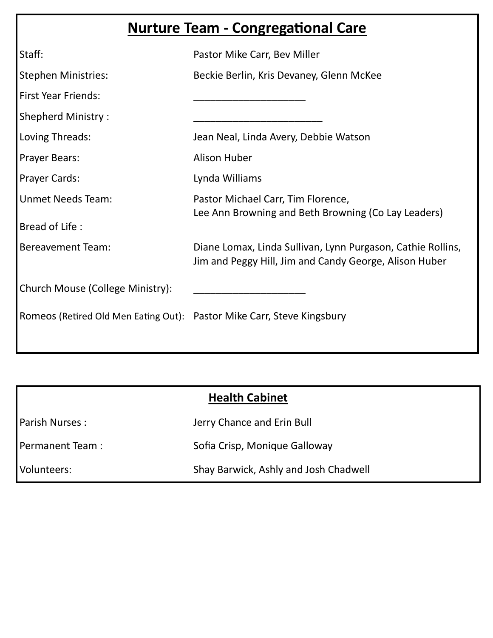# **Nurture Team - Congregational Care**

| Staff:                           | Pastor Mike Carr, Bev Miller                                                                                          |
|----------------------------------|-----------------------------------------------------------------------------------------------------------------------|
| <b>Stephen Ministries:</b>       | Beckie Berlin, Kris Devaney, Glenn McKee                                                                              |
| <b>First Year Friends:</b>       |                                                                                                                       |
| <b>Shepherd Ministry:</b>        |                                                                                                                       |
| Loving Threads:                  | Jean Neal, Linda Avery, Debbie Watson                                                                                 |
| <b>Prayer Bears:</b>             | Alison Huber                                                                                                          |
| <b>Prayer Cards:</b>             | Lynda Williams                                                                                                        |
| <b>Unmet Needs Team:</b>         | Pastor Michael Carr, Tim Florence,<br>Lee Ann Browning and Beth Browning (Co Lay Leaders)                             |
| Bread of Life:                   |                                                                                                                       |
| <b>Bereavement Team:</b>         | Diane Lomax, Linda Sullivan, Lynn Purgason, Cathie Rollins,<br>Jim and Peggy Hill, Jim and Candy George, Alison Huber |
| Church Mouse (College Ministry): |                                                                                                                       |
|                                  | Romeos (Retired Old Men Eating Out): Pastor Mike Carr, Steve Kingsbury                                                |
|                                  |                                                                                                                       |

| <b>Health Cabinet</b> |                                       |
|-----------------------|---------------------------------------|
| Parish Nurses:        | Jerry Chance and Erin Bull            |
| Permanent Team:       | Sofia Crisp, Monique Galloway         |
| Volunteers:           | Shay Barwick, Ashly and Josh Chadwell |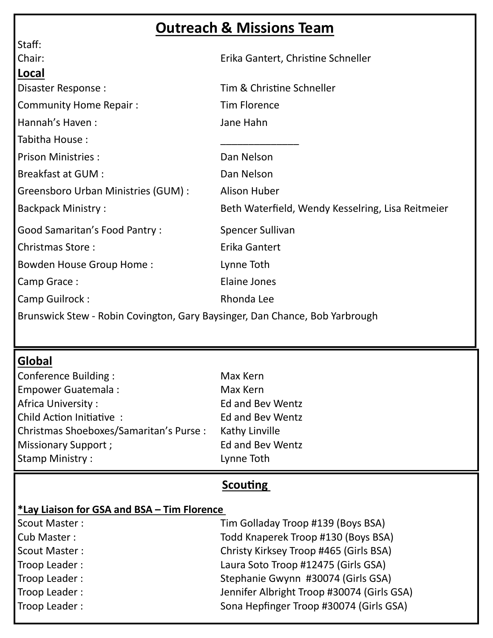# **Outreach & Missions Team**

| Staff:                                                                      |                                                   |
|-----------------------------------------------------------------------------|---------------------------------------------------|
| Chair:                                                                      | Erika Gantert, Christine Schneller                |
| Local                                                                       |                                                   |
| Disaster Response:                                                          | Tim & Christine Schneller                         |
| <b>Community Home Repair:</b>                                               | <b>Tim Florence</b>                               |
| Hannah's Haven:                                                             | Jane Hahn                                         |
| Tabitha House:                                                              |                                                   |
| <b>Prison Ministries:</b>                                                   | Dan Nelson                                        |
| <b>Breakfast at GUM:</b>                                                    | Dan Nelson                                        |
| Greensboro Urban Ministries (GUM) :                                         | Alison Huber                                      |
| <b>Backpack Ministry:</b>                                                   | Beth Waterfield, Wendy Kesselring, Lisa Reitmeier |
| <b>Good Samaritan's Food Pantry:</b>                                        | Spencer Sullivan                                  |
| <b>Christmas Store:</b>                                                     | Erika Gantert                                     |
| <b>Bowden House Group Home:</b>                                             | Lynne Toth                                        |
| Camp Grace:                                                                 | <b>Elaine Jones</b>                               |
| Camp Guilrock:                                                              | Rhonda Lee                                        |
| Brunswick Stew - Robin Covington, Gary Baysinger, Dan Chance, Bob Yarbrough |                                                   |

### **Global**

| Conference Building:                   | Max Kern                |
|----------------------------------------|-------------------------|
| <b>Empower Guatemala:</b>              | Max Kern                |
| Africa University:                     | <b>Ed and Bev Wentz</b> |
| Child Action Initiative:               | <b>Ed and Bev Wentz</b> |
| Christmas Shoeboxes/Samaritan's Purse: | Kathy Linville          |
| Missionary Support;                    | <b>Ed and Bev Wentz</b> |
| <b>Stamp Ministry:</b>                 | Lynne Toth              |

### **Scouting**

### **\*Lay Liaison for GSA and BSA – Tim Florence**

| Scout Master: | Tim Golladay Troop #139 (Boys BSA)         |
|---------------|--------------------------------------------|
| Cub Master:   | Todd Knaperek Troop #130 (Boys BSA)        |
| Scout Master: | Christy Kirksey Troop #465 (Girls BSA)     |
| Troop Leader: | Laura Soto Troop #12475 (Girls GSA)        |
| Troop Leader: | Stephanie Gwynn #30074 (Girls GSA)         |
| Troop Leader: | Jennifer Albright Troop #30074 (Girls GSA) |
| Troop Leader: | Sona Hepfinger Troop #30074 (Girls GSA)    |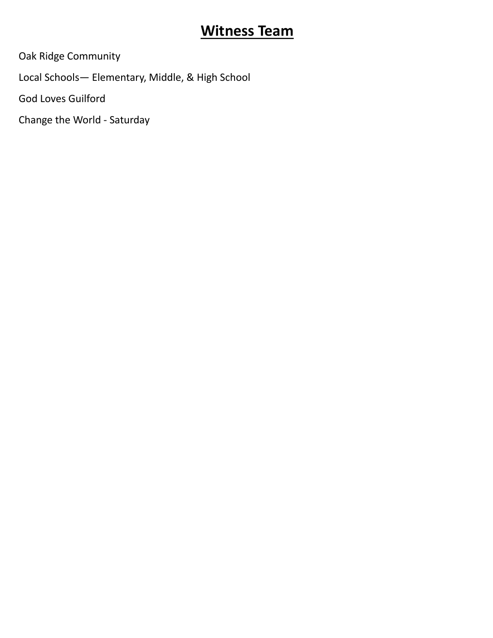# **Witness Team**

Oak Ridge Community

Local Schools— Elementary, Middle, & High School

God Loves Guilford

Change the World - Saturday